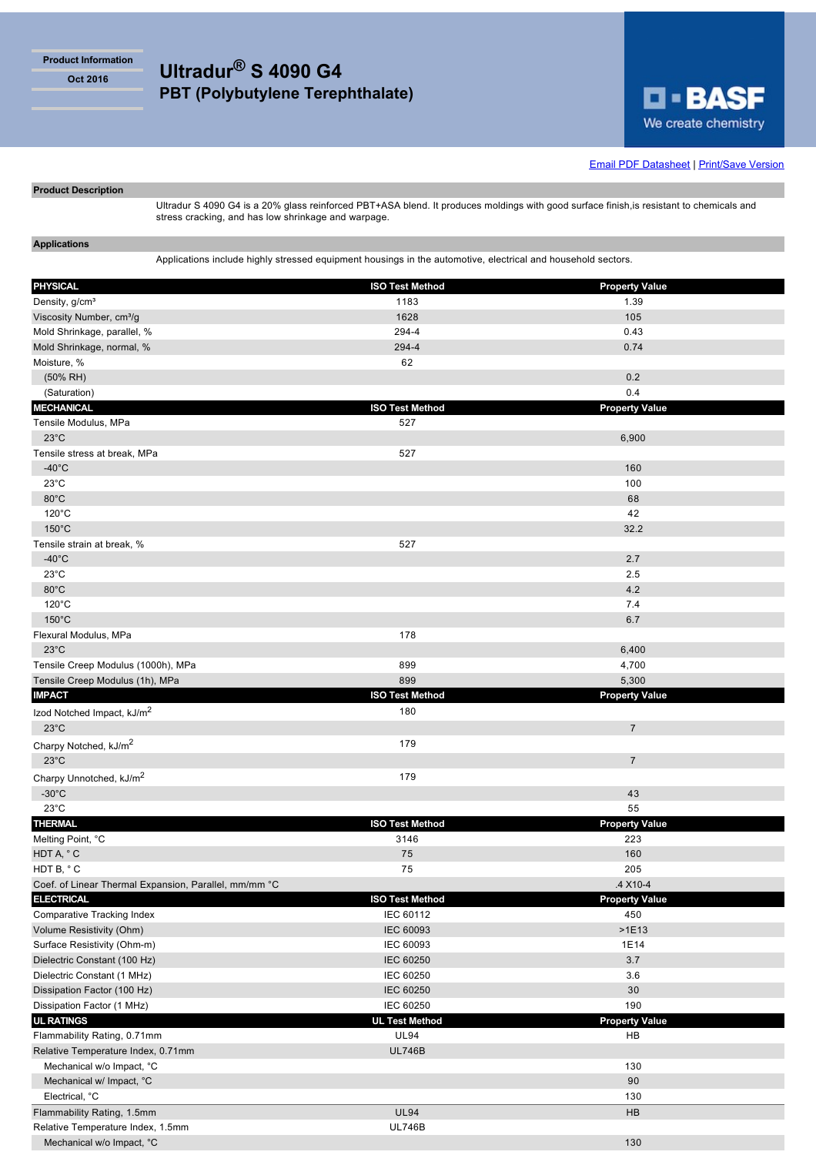**Product Information**

# **Oct 2016 Ultradur® S 4090 G4 PBT (Polybutylene Terephthalate)**



**Email PDF Datasheet | Print/Save Version** 

## **Product Description**

Ultradur S 4090 G4 is a 20% glass reinforced PBT+ASA blend. It produces moldings with good surface finish,is resistant to chemicals and stress cracking, and has low shrinkage and warpage.

**Applications**

Applications include highly stressed equipment housings in the automotive, electrical and household sectors.

| <b>PHYSICAL</b>                                       | <b>ISO Test Method</b> | <b>Property Value</b> |
|-------------------------------------------------------|------------------------|-----------------------|
| Density, g/cm <sup>3</sup>                            | 1183                   | 1.39                  |
| Viscosity Number, cm <sup>3</sup> /g                  | 1628                   | 105                   |
| Mold Shrinkage, parallel, %                           | 294-4                  | 0.43                  |
| Mold Shrinkage, normal, %                             | 294-4                  | 0.74                  |
| Moisture, %                                           | 62                     |                       |
| $(50\% \text{ RH})$                                   |                        | 0.2                   |
| (Saturation)                                          |                        | 0.4                   |
| <b>MECHANICAL</b>                                     | <b>ISO Test Method</b> |                       |
| Tensile Modulus, MPa                                  | 527                    | <b>Property Value</b> |
| $23^{\circ}$ C                                        |                        | 6,900                 |
| Tensile stress at break, MPa                          | 527                    |                       |
| $-40^{\circ}$ C                                       |                        | 160                   |
| $23^{\circ}$ C                                        |                        | 100                   |
| 80°C                                                  |                        | 68                    |
| $120^{\circ}$ C                                       |                        | 42                    |
| $150^{\circ}$ C                                       |                        | 32.2                  |
|                                                       | 527                    |                       |
| Tensile strain at break, %<br>$-40^{\circ}$ C         |                        | 2.7                   |
|                                                       |                        |                       |
| $23^{\circ}$ C                                        |                        | 2.5                   |
| 80°C                                                  |                        | 4.2                   |
| $120^{\circ}$ C                                       |                        | 7.4                   |
| $150^{\circ}$ C                                       |                        | 6.7                   |
| Flexural Modulus, MPa                                 | 178                    |                       |
| $23^{\circ}$ C                                        |                        | 6,400                 |
| Tensile Creep Modulus (1000h), MPa                    | 899                    | 4,700                 |
| Tensile Creep Modulus (1h), MPa                       | 899                    | 5,300                 |
| <b>IMPACT</b>                                         | <b>ISO Test Method</b> | <b>Property Value</b> |
| Izod Notched Impact, kJ/m <sup>2</sup>                | 180                    |                       |
| $23^{\circ}$ C                                        |                        | $\overline{7}$        |
| Charpy Notched, kJ/m <sup>2</sup>                     | 179                    |                       |
| $23^{\circ}$ C                                        |                        | $\overline{7}$        |
| Charpy Unnotched, kJ/m <sup>2</sup>                   | 179                    |                       |
| $-30^{\circ}$ C                                       |                        | 43                    |
| $23^{\circ}$ C                                        |                        | 55                    |
| <b>THERMAL</b>                                        | <b>ISO Test Method</b> | <b>Property Value</b> |
| Melting Point, °C                                     | 3146                   | 223                   |
| HDT A, °C                                             | 75                     | 160                   |
| HDT B, °C                                             | 75                     | 205                   |
| Coef. of Linear Thermal Expansion, Parallel, mm/mm °C |                        | .4 X10-4              |
| <b>ELECTRICAL</b>                                     | <b>ISO Test Method</b> | <b>Property Value</b> |
| <b>Comparative Tracking Index</b>                     | IEC 60112              | 450                   |
| Volume Resistivity (Ohm)                              | IEC 60093              | $>1E13$               |
| Surface Resistivity (Ohm-m)                           | IEC 60093              | 1E14                  |
| Dielectric Constant (100 Hz)                          | <b>IEC 60250</b>       | 3.7                   |
| Dielectric Constant (1 MHz)                           | IEC 60250              | 3.6                   |
| Dissipation Factor (100 Hz)                           | <b>IEC 60250</b>       | 30                    |
| Dissipation Factor (1 MHz)                            | IEC 60250              | 190                   |
| <b>UL RATINGS</b>                                     | <b>UL Test Method</b>  | <b>Property Value</b> |
| Flammability Rating, 0.71mm                           | <b>UL94</b>            | HB                    |
| Relative Temperature Index, 0.71mm                    | <b>UL746B</b>          |                       |
| Mechanical w/o Impact, °C                             |                        | 130                   |
| Mechanical w/ Impact, °C                              |                        | 90                    |
| Electrical, °C                                        |                        | 130                   |
| Flammability Rating, 1.5mm                            | <b>UL94</b>            | HB                    |
| Relative Temperature Index, 1.5mm                     | <b>UL746B</b>          |                       |
| Mechanical w/o Impact, °C                             |                        | 130                   |